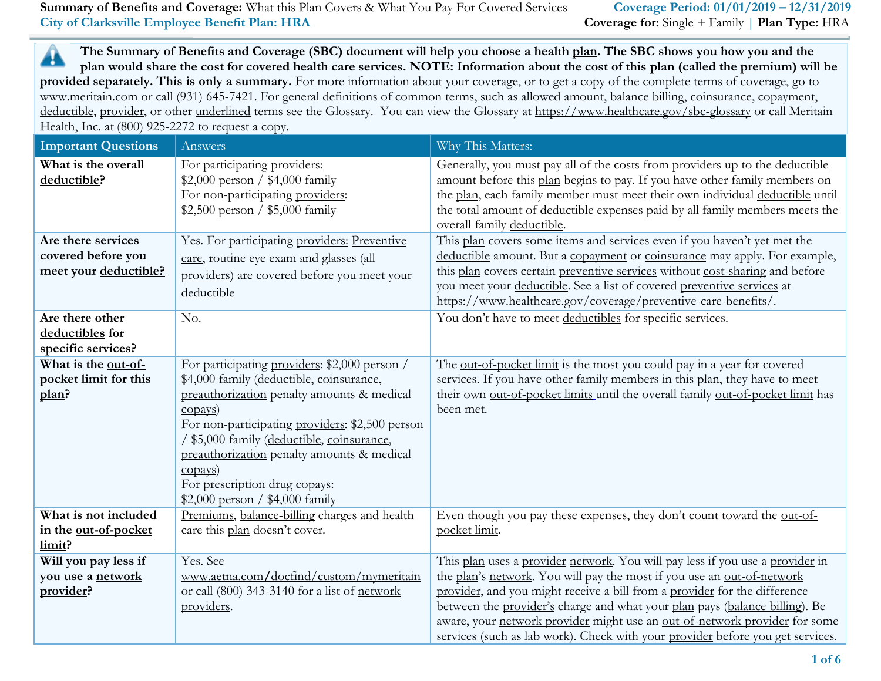▲ **The Summary of Benefits and Coverage (SBC) document will help you choose a health plan. The SBC shows you how you and the plan would share the cost for covered health care services. NOTE: Information about the cost of this plan (called the premium) will be provided separately. This is only a summary.** For more information about your coverage, or to get a copy of the complete terms of coverage, go to www.meritain.com or call (931) 645-7421. For general definitions of common terms, such as allowed amount, balance billing, coinsurance, copayment, deductible, provider, or other underlined terms see the Glossary. You can view the Glossary at https://www.healthcare.gov/sbc-glossary or call Meritain Health, Inc. at (800) 925-2272 to request a copy.

| <b>Important Questions</b>                                        | Answers                                                                                                                                                                                                                                                                                                                                                                                          | Why This Matters:                                                                                                                                                                                                                                                                                                                                                                                                                                                                   |
|-------------------------------------------------------------------|--------------------------------------------------------------------------------------------------------------------------------------------------------------------------------------------------------------------------------------------------------------------------------------------------------------------------------------------------------------------------------------------------|-------------------------------------------------------------------------------------------------------------------------------------------------------------------------------------------------------------------------------------------------------------------------------------------------------------------------------------------------------------------------------------------------------------------------------------------------------------------------------------|
| What is the overall<br>deductible?                                | For participating providers:<br>\$2,000 person / \$4,000 family<br>For non-participating providers:<br>\$2,500 person / \$5,000 family                                                                                                                                                                                                                                                           | Generally, you must pay all of the costs from providers up to the deductible<br>amount before this plan begins to pay. If you have other family members on<br>the plan, each family member must meet their own individual deductible until<br>the total amount of deductible expenses paid by all family members meets the<br>overall family deductible.                                                                                                                            |
| Are there services<br>covered before you<br>meet your deductible? | Yes. For participating providers: Preventive<br>care, routine eye exam and glasses (all<br>providers) are covered before you meet your<br>deductible                                                                                                                                                                                                                                             | This plan covers some items and services even if you haven't yet met the<br>deductible amount. But a copayment or coinsurance may apply. For example,<br>this plan covers certain preventive services without cost-sharing and before<br>you meet your deductible. See a list of covered preventive services at<br>https://www.healthcare.gov/coverage/preventive-care-benefits/.                                                                                                   |
| Are there other<br>deductibles for<br>specific services?          | No.                                                                                                                                                                                                                                                                                                                                                                                              | You don't have to meet deductibles for specific services.                                                                                                                                                                                                                                                                                                                                                                                                                           |
| What is the out-of-<br>pocket limit for this<br>plan?             | For participating providers: \$2,000 person /<br>\$4,000 family (deductible, coinsurance,<br>preauthorization penalty amounts & medical<br>$\frac{copy}{)$<br>For non-participating providers: \$2,500 person<br>/ \$5,000 family (deductible, coinsurance,<br>preauthorization penalty amounts & medical<br>$\frac{copy}{)$<br>For prescription drug copays:<br>\$2,000 person / \$4,000 family | The <u>out-of-pocket limit</u> is the most you could pay in a year for covered<br>services. If you have other family members in this plan, they have to meet<br>their own out-of-pocket limits until the overall family out-of-pocket limit has<br>been met.                                                                                                                                                                                                                        |
| What is not included<br>in the out-of-pocket<br>limit?            | Premiums, balance-billing charges and health<br>care this plan doesn't cover.                                                                                                                                                                                                                                                                                                                    | Even though you pay these expenses, they don't count toward the out-of-<br>pocket limit.                                                                                                                                                                                                                                                                                                                                                                                            |
| Will you pay less if<br>you use a network<br>provider?            | Yes. See<br>www.aetna.com/docfind/custom/mymeritain<br>or call (800) 343-3140 for a list of network<br>providers.                                                                                                                                                                                                                                                                                | This plan uses a provider network. You will pay less if you use a provider in<br>the plan's network. You will pay the most if you use an out-of-network<br>provider, and you might receive a bill from a provider for the difference<br>between the provider's charge and what your plan pays (balance billing). Be<br>aware, your network provider might use an out-of-network provider for some<br>services (such as lab work). Check with your provider before you get services. |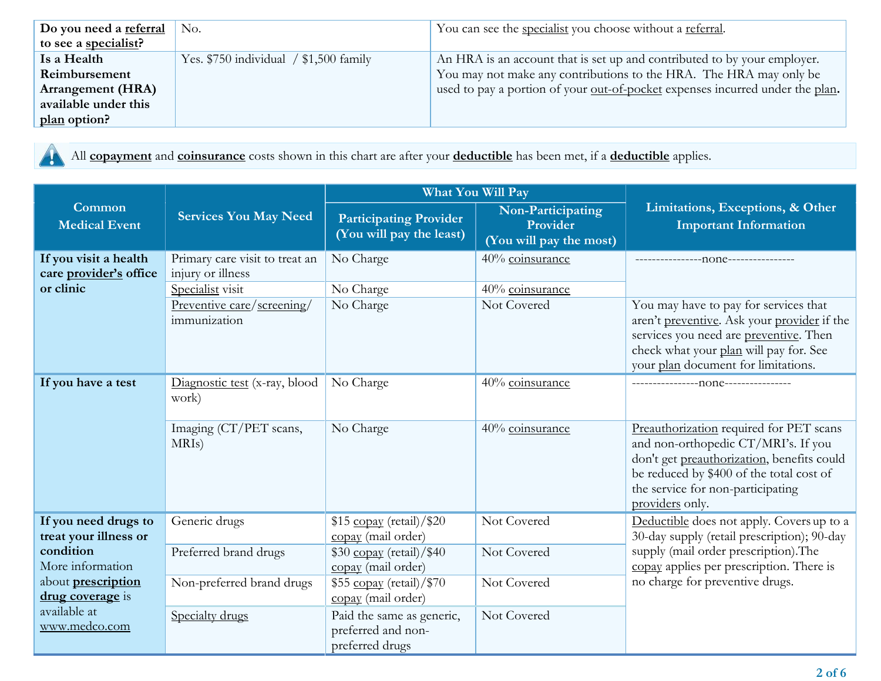| Do you need a referral   | No.                                      | You can see the <u>specialist</u> you choose without a referral.                     |
|--------------------------|------------------------------------------|--------------------------------------------------------------------------------------|
| to see a specialist?     |                                          |                                                                                      |
| Is a Health              | Yes. $$750$ individual $/ $1,500$ family | An HRA is an account that is set up and contributed to by your employer.             |
| Reimbursement            |                                          | You may not make any contributions to the HRA. The HRA may only be                   |
| <b>Arrangement (HRA)</b> |                                          | used to pay a portion of your <u>out-of-pocket</u> expenses incurred under the plan. |
| available under this     |                                          |                                                                                      |
| plan option?             |                                          |                                                                                      |

All **copayment** and **coinsurance** costs shown in this chart are after your **deductible** has been met, if a **deductible** applies.

|                                                              |                                                                         | What You Will Pay                                                  |                                                          |                                                                                                                                                                                                                                  |  |
|--------------------------------------------------------------|-------------------------------------------------------------------------|--------------------------------------------------------------------|----------------------------------------------------------|----------------------------------------------------------------------------------------------------------------------------------------------------------------------------------------------------------------------------------|--|
| Common<br><b>Medical Event</b>                               | <b>Services You May Need</b>                                            | <b>Participating Provider</b><br>(You will pay the least)          | Non-Participating<br>Provider<br>(You will pay the most) | Limitations, Exceptions, & Other<br><b>Important Information</b>                                                                                                                                                                 |  |
| If you visit a health<br>care provider's office<br>or clinic | Primary care visit to treat an<br>injury or illness<br>Specialist visit | No Charge                                                          | 40% coinsurance                                          | -----------------none---------------                                                                                                                                                                                             |  |
|                                                              | Preventive care/screening/<br>immunization                              | No Charge<br>No Charge                                             | 40% coinsurance<br>Not Covered                           | You may have to pay for services that<br>aren't preventive. Ask your provider if the<br>services you need are preventive. Then<br>check what your plan will pay for. See<br>your plan document for limitations.                  |  |
| If you have a test                                           | Diagnostic test (x-ray, blood<br>work)                                  | No Charge                                                          | 40% coinsurance                                          |                                                                                                                                                                                                                                  |  |
|                                                              | Imaging (CT/PET scans,<br>MRI <sub>s</sub> )                            | No Charge                                                          | 40% coinsurance                                          | Preauthorization required for PET scans<br>and non-orthopedic CT/MRI's. If you<br>don't get preauthorization, benefits could<br>be reduced by \$400 of the total cost of<br>the service for non-participating<br>providers only. |  |
| If you need drugs to<br>treat your illness or                | Generic drugs                                                           | $$15 \underline{copay}$ (retail)/ $$20$<br>copay (mail order)      | Not Covered                                              | Deductible does not apply. Covers up to a<br>30-day supply (retail prescription); 90-day                                                                                                                                         |  |
| condition<br>More information                                | Preferred brand drugs                                                   | $$30$ copay (retail)/ $$40$<br>copay (mail order)                  | Not Covered                                              | supply (mail order prescription). The<br>copay applies per prescription. There is                                                                                                                                                |  |
| about prescription<br>drug coverage is                       | Non-preferred brand drugs                                               | \$55 copay (retail)/\$70<br>copay (mail order)                     | Not Covered                                              | no charge for preventive drugs.                                                                                                                                                                                                  |  |
| available at<br>www.medco.com                                | Specialty drugs                                                         | Paid the same as generic,<br>preferred and non-<br>preferred drugs | Not Covered                                              |                                                                                                                                                                                                                                  |  |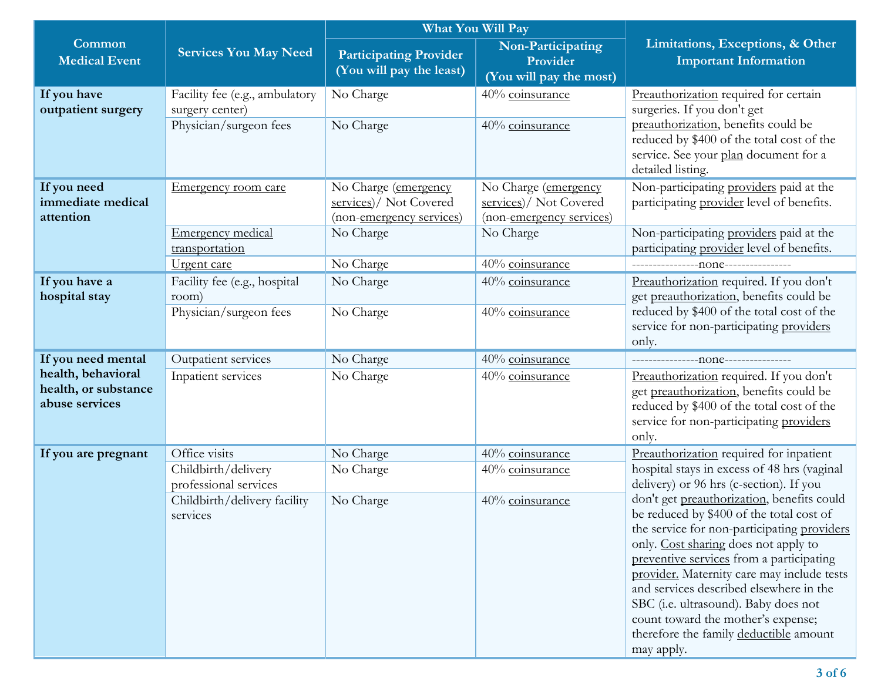|                                                                                    |                                                                                                           | What You Will Pay                                                                       |                                                                                         |                                                                                                                                                                                                                                                                                                                                                                                                                                                                                                                                                                                               |
|------------------------------------------------------------------------------------|-----------------------------------------------------------------------------------------------------------|-----------------------------------------------------------------------------------------|-----------------------------------------------------------------------------------------|-----------------------------------------------------------------------------------------------------------------------------------------------------------------------------------------------------------------------------------------------------------------------------------------------------------------------------------------------------------------------------------------------------------------------------------------------------------------------------------------------------------------------------------------------------------------------------------------------|
| Common<br><b>Medical Event</b>                                                     | <b>Services You May Need</b>                                                                              | <b>Participating Provider</b><br>(You will pay the least)                               | Non-Participating<br>Provider<br>(You will pay the most)                                | Limitations, Exceptions, & Other<br><b>Important Information</b>                                                                                                                                                                                                                                                                                                                                                                                                                                                                                                                              |
| If you have<br>outpatient surgery                                                  | Facility fee (e.g., ambulatory<br>surgery center)<br>Physician/surgeon fees                               | No Charge<br>No Charge                                                                  | 40% coinsurance<br>40% coinsurance                                                      | Preauthorization required for certain<br>surgeries. If you don't get<br>preauthorization, benefits could be<br>reduced by \$400 of the total cost of the<br>service. See your plan document for a<br>detailed listing.                                                                                                                                                                                                                                                                                                                                                                        |
| If you need<br>immediate medical<br>attention                                      | Emergency room care<br><b>Emergency medical</b><br>transportation                                         | No Charge (emergency<br>services)/ Not Covered<br>(non-emergency services)<br>No Charge | No Charge (emergency<br>services)/ Not Covered<br>(non-emergency services)<br>No Charge | Non-participating providers paid at the<br>participating provider level of benefits.<br>Non-participating providers paid at the<br>participating provider level of benefits.                                                                                                                                                                                                                                                                                                                                                                                                                  |
| If you have a<br>hospital stay                                                     | Urgent care<br>Facility fee (e.g., hospital<br>room)<br>Physician/surgeon fees                            | No Charge<br>No Charge<br>No Charge                                                     | 40% coinsurance<br>40% coinsurance<br>40% coinsurance                                   | Preauthorization required. If you don't<br>get preauthorization, benefits could be<br>reduced by \$400 of the total cost of the<br>service for non-participating providers<br>only.                                                                                                                                                                                                                                                                                                                                                                                                           |
| If you need mental<br>health, behavioral<br>health, or substance<br>abuse services | Outpatient services<br>Inpatient services                                                                 | No Charge<br>No Charge                                                                  | 40% coinsurance<br>40% coinsurance                                                      | Preauthorization required. If you don't<br>get preauthorization, benefits could be<br>reduced by \$400 of the total cost of the<br>service for non-participating providers<br>only.                                                                                                                                                                                                                                                                                                                                                                                                           |
| If you are pregnant                                                                | Office visits<br>Childbirth/delivery<br>professional services<br>Childbirth/delivery facility<br>services | No Charge<br>No Charge<br>No Charge                                                     | 40% coinsurance<br>40% coinsurance<br>40% coinsurance                                   | Preauthorization required for inpatient<br>hospital stays in excess of 48 hrs (vaginal<br>delivery) or 96 hrs (c-section). If you<br>don't get preauthorization, benefits could<br>be reduced by \$400 of the total cost of<br>the service for non-participating providers<br>only. Cost sharing does not apply to<br>preventive services from a participating<br>provider. Maternity care may include tests<br>and services described elsewhere in the<br>SBC (i.e. ultrasound). Baby does not<br>count toward the mother's expense;<br>therefore the family deductible amount<br>may apply. |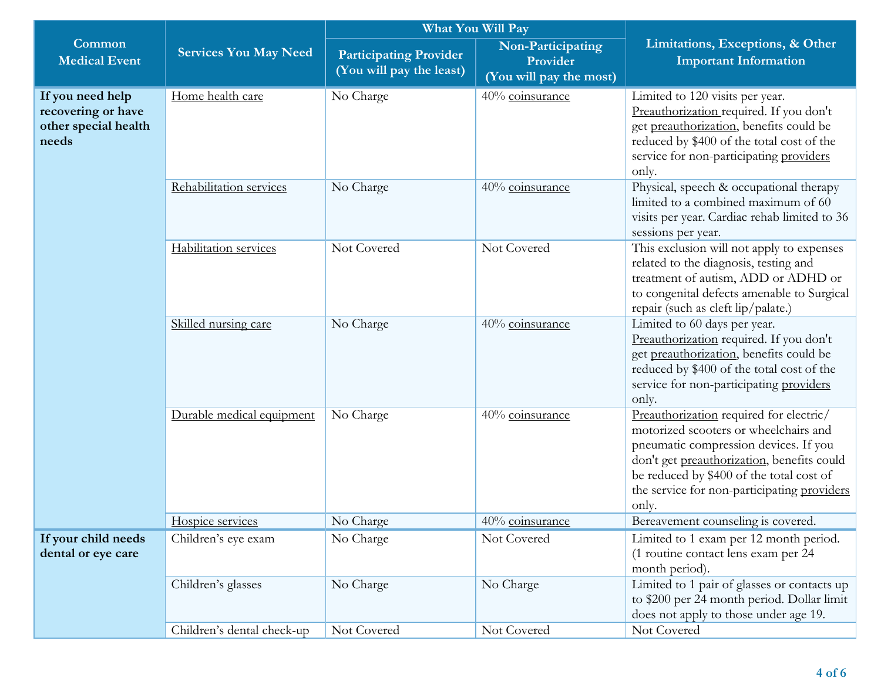|                                                                         |                              | What You Will Pay                                         |                                                          |                                                                                                                                                                                                                                                                             |
|-------------------------------------------------------------------------|------------------------------|-----------------------------------------------------------|----------------------------------------------------------|-----------------------------------------------------------------------------------------------------------------------------------------------------------------------------------------------------------------------------------------------------------------------------|
| Common<br><b>Medical Event</b>                                          | <b>Services You May Need</b> | <b>Participating Provider</b><br>(You will pay the least) | Non-Participating<br>Provider<br>(You will pay the most) | Limitations, Exceptions, & Other<br><b>Important Information</b>                                                                                                                                                                                                            |
| If you need help<br>recovering or have<br>other special health<br>needs | Home health care             | No Charge                                                 | 40% coinsurance                                          | Limited to 120 visits per year.<br>Preauthorization required. If you don't<br>get preauthorization, benefits could be<br>reduced by \$400 of the total cost of the<br>service for non-participating providers<br>only.                                                      |
|                                                                         | Rehabilitation services      | No Charge                                                 | 40% coinsurance                                          | Physical, speech & occupational therapy<br>limited to a combined maximum of 60<br>visits per year. Cardiac rehab limited to 36<br>sessions per year.                                                                                                                        |
|                                                                         | Habilitation services        | Not Covered                                               | Not Covered                                              | This exclusion will not apply to expenses<br>related to the diagnosis, testing and<br>treatment of autism, ADD or ADHD or<br>to congenital defects amenable to Surgical<br>repair (such as cleft lip/palate.)                                                               |
|                                                                         | Skilled nursing care         | No Charge                                                 | 40% coinsurance                                          | Limited to 60 days per year.<br>Preauthorization required. If you don't<br>get preauthorization, benefits could be<br>reduced by \$400 of the total cost of the<br>service for non-participating providers<br>only.                                                         |
|                                                                         | Durable medical equipment    | No Charge                                                 | 40% coinsurance                                          | Preauthorization required for electric/<br>motorized scooters or wheelchairs and<br>pneumatic compression devices. If you<br>don't get preauthorization, benefits could<br>be reduced by \$400 of the total cost of<br>the service for non-participating providers<br>only. |
|                                                                         | Hospice services             | No Charge                                                 | 40% coinsurance                                          | Bereavement counseling is covered.                                                                                                                                                                                                                                          |
| If your child needs<br>dental or eye care                               | Children's eye exam          | No Charge                                                 | Not Covered                                              | Limited to 1 exam per 12 month period.<br>(1 routine contact lens exam per 24<br>month period).                                                                                                                                                                             |
|                                                                         | Children's glasses           | No Charge                                                 | No Charge                                                | Limited to 1 pair of glasses or contacts up<br>to \$200 per 24 month period. Dollar limit<br>does not apply to those under age 19.                                                                                                                                          |
|                                                                         | Children's dental check-up   | Not Covered                                               | Not Covered                                              | Not Covered                                                                                                                                                                                                                                                                 |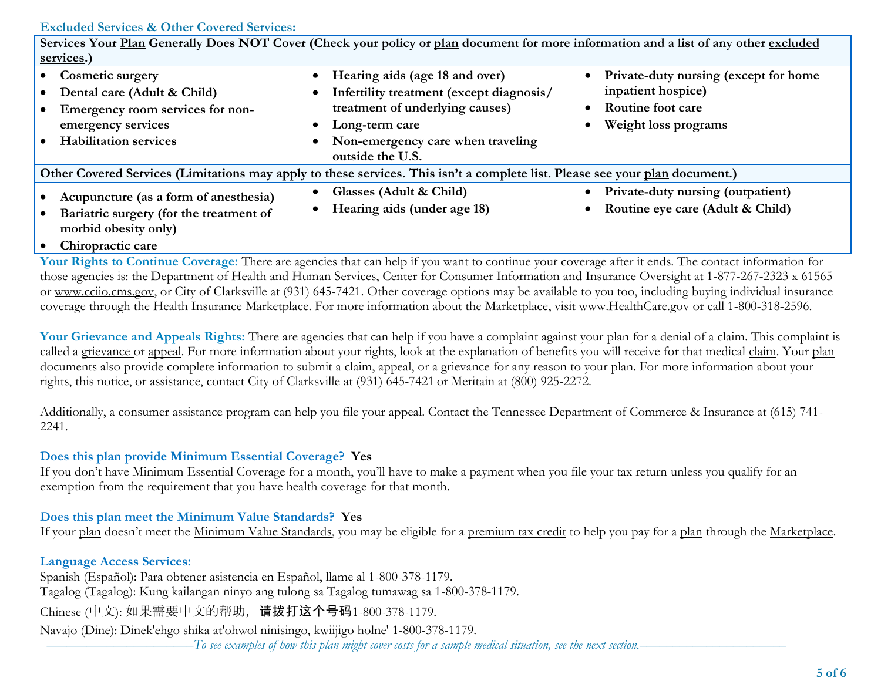#### **Excluded Services & Other Covered Services:**

|                                                                                                                                             |                                                                                                                                                                                                                                 | Services Your Plan Generally Does NOT Cover (Check your policy or plan document for more information and a list of any other excluded           |  |
|---------------------------------------------------------------------------------------------------------------------------------------------|---------------------------------------------------------------------------------------------------------------------------------------------------------------------------------------------------------------------------------|-------------------------------------------------------------------------------------------------------------------------------------------------|--|
| services.)                                                                                                                                  |                                                                                                                                                                                                                                 |                                                                                                                                                 |  |
| • Cosmetic surgery<br>Dental care (Adult & Child)<br>Emergency room services for non-<br>emergency services<br><b>Habilitation services</b> | Hearing aids (age 18 and over)<br>Infertility treatment (except diagnosis/<br>$\bullet$<br>treatment of underlying causes)<br>Long-term care<br>$\bullet$<br>Non-emergency care when traveling<br>$\bullet$<br>outside the U.S. | Private-duty nursing (except for home<br>$\bullet$<br>inpatient hospice)<br>Routine foot care<br>$\bullet$<br>Weight loss programs<br>$\bullet$ |  |
| Other Covered Services (Limitations may apply to these services. This isn't a complete list. Please see your plan document.)                |                                                                                                                                                                                                                                 |                                                                                                                                                 |  |
| Acupuncture (as a form of anesthesia)<br>Bariatric surgery (for the treatment of<br>morbid obesity only)                                    | Glasses (Adult & Child)<br>$\bullet$<br>Hearing aids (under age 18)                                                                                                                                                             | <b>Private-duty nursing (outpatient)</b><br>$\bullet$<br>Routine eye care (Adult & Child)<br>$\bullet$                                          |  |

**Chiropractic care**

**Your Rights to Continue Coverage:** There are agencies that can help if you want to continue your coverage after it ends. The contact information for those agencies is: the Department of Health and Human Services, Center for Consumer Information and Insurance Oversight at 1-877-267-2323 x 61565 or www.cciio.cms.gov, or City of Clarksville at (931) 645-7421. Other coverage options may be available to you too, including buying individual insurance coverage through the Health Insurance Marketplace. For more information about the Marketplace, visit [www.HealthCare.gov](http://www.healthcare.gov/) or call 1-800-318-2596.

Your Grievance and Appeals Rights: There are agencies that can help if you have a complaint against your plan for a denial of a claim. This complaint is called a grievance or appeal. For more information about your rights, look at the explanation of benefits you will receive for that medical claim. Your plan documents also provide complete information to submit a claim, appeal, or a grievance for any reason to your plan. For more information about your rights, this notice, or assistance, contact City of Clarksville at (931) 645-7421 or Meritain at (800) 925-2272.

Additionally, a consumer assistance program can help you file your appeal. Contact the Tennessee Department of Commerce & Insurance at (615) 741- 2241.

#### **Does this plan provide Minimum Essential Coverage? Yes**

If you don't have Minimum Essential Coverage for a month, you'll have to make a payment when you file your tax return unless you qualify for an exemption from the requirement that you have health coverage for that month.

### **Does this plan meet the Minimum Value Standards? Yes**

If your plan doesn't meet the Minimum Value Standards, you may be eligible for a premium tax credit to help you pay for a plan through the Marketplace.

## **Language Access Services:**

Spanish (Español): Para obtener asistencia en Español, llame al 1-800-378-1179. Tagalog (Tagalog): Kung kailangan ninyo ang tulong sa Tagalog tumawag sa 1-800-378-1179. Chinese (中文): 如果需要中文的帮助, 请拨打这个号码1-800-378-1179. Navajo (Dine): Dinek'ehgo shika at'ohwol ninisingo, kwiijigo holne' 1-800-378-1179.

––––––––––––––––––––––*To see examples of how this plan might cover costs for a sample medical situation, see the next section.–––––––––––*–––––––––––